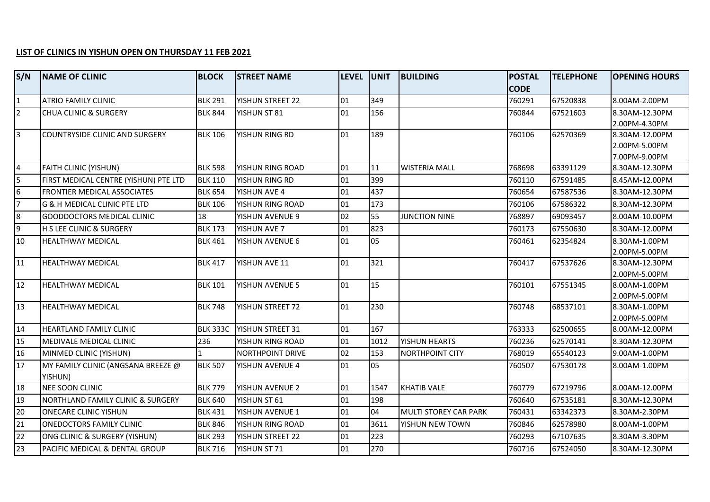## **LIST OF CLINICS IN YISHUN OPEN ON THURSDAY 11 FEB 2021**

| S/N            | <b>INAME OF CLINIC</b>                | <b>BLOCK</b>    | <b>STREET NAME</b>      | level  unit |      | <b>BUILDING</b>              | <b>POSTAL</b> | <b>TELEPHONE</b> | <b>OPENING HOURS</b>            |
|----------------|---------------------------------------|-----------------|-------------------------|-------------|------|------------------------------|---------------|------------------|---------------------------------|
|                |                                       |                 |                         |             |      |                              | <b>CODE</b>   |                  |                                 |
| $\overline{1}$ | <b>ATRIO FAMILY CLINIC</b>            | <b>BLK 291</b>  | YISHUN STREET 22        | 01          | 349  |                              | 760291        | 67520838         | 8.00AM-2.00PM                   |
| $\vert$ 2      | <b>CHUA CLINIC &amp; SURGERY</b>      | <b>BLK 844</b>  | YISHUN ST 81            | 01          | 156  |                              | 760844        | 67521603         | 8.30AM-12.30PM                  |
|                |                                       |                 |                         |             |      |                              |               |                  | 2.00PM-4.30PM                   |
| l3             | COUNTRYSIDE CLINIC AND SURGERY        | <b>BLK 106</b>  | YISHUN RING RD          | 01          | 189  |                              | 760106        | 62570369         | 8.30AM-12.00PM                  |
|                |                                       |                 |                         |             |      |                              |               |                  | 2.00PM-5.00PM                   |
|                |                                       |                 |                         | 01          |      |                              |               |                  | 7.00PM-9.00PM                   |
| $\overline{4}$ | <b>FAITH CLINIC (YISHUN)</b>          | <b>BLK 598</b>  | YISHUN RING ROAD        |             | 11   | <b>WISTERIA MALL</b>         | 768698        | 63391129         | 8.30AM-12.30PM                  |
| $\overline{5}$ | FIRST MEDICAL CENTRE (YISHUN) PTE LTD | <b>BLK 110</b>  | YISHUN RING RD          | 01          | 399  |                              | 760110        | 67591485         | 8.45AM-12.00PM                  |
| 6              | FRONTIER MEDICAL ASSOCIATES           | <b>BLK 654</b>  | YISHUN AVE 4            | 01          | 437  |                              | 760654        | 67587536         | 8.30AM-12.30PM                  |
| $\overline{7}$ | G & H MEDICAL CLINIC PTE LTD          | <b>BLK 106</b>  | YISHUN RING ROAD        | 01          | 173  |                              | 760106        | 67586322         | 8.30AM-12.30PM                  |
| $8\phantom{.}$ | GOODDOCTORS MEDICAL CLINIC            | 18              | YISHUN AVENUE 9         | 02          | 55   | <b>JUNCTION NINE</b>         | 768897        | 69093457         | 8.00AM-10.00PM                  |
| l9             | <b>H S LEE CLINIC &amp; SURGERY</b>   | <b>BLK 173</b>  | YISHUN AVE 7            | 01          | 823  |                              | 760173        | 67550630         | 8.30AM-12.00PM                  |
| 10             | HEALTHWAY MEDICAL                     | <b>BLK 461</b>  | YISHUN AVENUE 6         | 01          | 05   |                              | 760461        | 62354824         | 8.30AM-1.00PM                   |
|                |                                       |                 |                         |             |      |                              |               |                  | 2.00PM-5.00PM                   |
| 11             | <b>HEALTHWAY MEDICAL</b>              | <b>BLK 417</b>  | YISHUN AVE 11           | 01          | 321  |                              | 760417        | 67537626         | 8.30AM-12.30PM                  |
|                |                                       |                 |                         |             |      |                              |               |                  | 2.00PM-5.00PM                   |
| 12             | <b>HEALTHWAY MEDICAL</b>              | <b>BLK 101</b>  | YISHUN AVENUE 5         | 01          | 15   |                              | 760101        | 67551345         | 8.00AM-1.00PM                   |
|                |                                       |                 |                         |             |      |                              |               |                  | 2.00PM-5.00PM                   |
| 13             | <b>HEALTHWAY MEDICAL</b>              | <b>BLK 748</b>  | YISHUN STREET 72        | 01          | 230  |                              | 760748        | 68537101         | 8.30AM-1.00PM                   |
| 14             | <b>HEARTLAND FAMILY CLINIC</b>        | <b>BLK 333C</b> | <b>YISHUN STREET 31</b> | 01          | 167  |                              | 763333        | 62500655         | 2.00PM-5.00PM<br>8.00AM-12.00PM |
| 15             |                                       |                 |                         | 01          | 1012 |                              |               |                  |                                 |
|                | <b>MEDIVALE MEDICAL CLINIC</b>        | 236             | YISHUN RING ROAD        |             |      | YISHUN HEARTS                | 760236        | 62570141         | 8.30AM-12.30PM                  |
| 16             | MINMED CLINIC (YISHUN)                |                 | <b>NORTHPOINT DRIVE</b> | 02          | 153  | <b>NORTHPOINT CITY</b>       | 768019        | 65540123         | 9.00AM-1.00PM                   |
| 17             | MY FAMILY CLINIC (ANGSANA BREEZE @    | <b>BLK 507</b>  | YISHUN AVENUE 4         | 01          | 05   |                              | 760507        | 67530178         | 8.00AM-1.00PM                   |
|                | YISHUN)                               |                 |                         |             |      |                              |               |                  |                                 |
| 18             | <b>NEE SOON CLINIC</b>                | <b>BLK 779</b>  | YISHUN AVENUE 2         | 01          | 1547 | <b>KHATIB VALE</b>           | 760779        | 67219796         | 8.00AM-12.00PM                  |
| 19             | NORTHLAND FAMILY CLINIC & SURGERY     | <b>BLK 640</b>  | YISHUN ST 61            | 01          | 198  |                              | 760640        | 67535181         | 8.30AM-12.30PM                  |
| 20             | <b>ONECARE CLINIC YISHUN</b>          | <b>BLK 431</b>  | YISHUN AVENUE 1         | 01          | 04   | <b>MULTI STOREY CAR PARK</b> | 760431        | 63342373         | 8.30AM-2.30PM                   |
| 21             | <b>ONEDOCTORS FAMILY CLINIC</b>       | <b>BLK 846</b>  | YISHUN RING ROAD        | 01          | 3611 | YISHUN NEW TOWN              | 760846        | 62578980         | 8.00AM-1.00PM                   |
| 22             | ONG CLINIC & SURGERY (YISHUN)         | <b>BLK 293</b>  | YISHUN STREET 22        | 01          | 223  |                              | 760293        | 67107635         | 8.30AM-3.30PM                   |
| 23             | PACIFIC MEDICAL & DENTAL GROUP        | <b>BLK 716</b>  | YISHUN ST 71            | 01          | 270  |                              | 760716        | 67524050         | 8.30AM-12.30PM                  |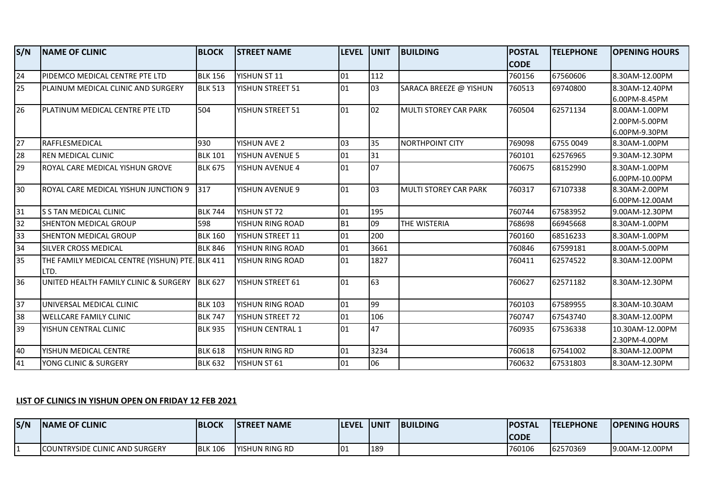| S/N             | <b>NAME OF CLINIC</b>                                   | <b>BLOCK</b>   | <b>STREET NAME</b>     | <b>LEVEL</b>    | <b>UNIT</b> | <b>BUILDING</b>              | <b>POSTAL</b><br><b>CODE</b> | <b>TELEPHONE</b> | <b>OPENING HOURS</b>                            |
|-----------------|---------------------------------------------------------|----------------|------------------------|-----------------|-------------|------------------------------|------------------------------|------------------|-------------------------------------------------|
| $\overline{24}$ | PIDEMCO MEDICAL CENTRE PTE LTD                          | <b>BLK 156</b> | YISHUN ST 11           | 01              | 112         |                              | 760156                       | 67560606         | 8.30AM-12.00PM                                  |
| 25              | IPLAINUM MEDICAL CLINIC AND SURGERY                     | <b>BLK 513</b> | YISHUN STREET 51       | 101             | 03          | SARACA BREEZE @ YISHUN       | 760513                       | 69740800         | 8.30AM-12.40PM<br>6.00PM-8.45PM                 |
| $\overline{26}$ | PLATINUM MEDICAL CENTRE PTE LTD                         | 504            | YISHUN STREET 51       | 01              | 02          | MULTI STOREY CAR PARK        | 760504                       | 62571134         | 8.00AM-1.00PM<br>2.00PM-5.00PM<br>6.00PM-9.30PM |
| $\overline{27}$ | RAFFLESMEDICAL                                          | 930            | YISHUN AVE 2           | lo <sub>3</sub> | 35          | <b>NORTHPOINT CITY</b>       | 769098                       | 6755 0049        | 8.30AM-1.00PM                                   |
| 28              | REN MEDICAL CLINIC                                      | <b>BLK 101</b> | <b>YISHUN AVENUE 5</b> | 01              | 31          |                              | 760101                       | 62576965         | 9.30AM-12.30PM                                  |
| 29              | ROYAL CARE MEDICAL YISHUN GROVE                         | <b>BLK 675</b> | YISHUN AVENUE 4        | 01              | 07          |                              | 760675                       | 68152990         | 8.30AM-1.00PM<br>6.00PM-10.00PM                 |
| 30              | ROYAL CARE MEDICAL YISHUN JUNCTION 9 317                |                | YISHUN AVENUE 9        | 101             | 03          | <b>MULTI STOREY CAR PARK</b> | 760317                       | 67107338         | 8.30AM-2.00PM<br>6.00PM-12.00AM                 |
| 31              | S S TAN MEDICAL CLINIC                                  | <b>BLK 744</b> | YISHUN ST 72           | 01              | 195         |                              | 760744                       | 67583952         | 9.00AM-12.30PM                                  |
| 32              | SHENTON MEDICAL GROUP                                   | 598            | YISHUN RING ROAD       | B <sub>1</sub>  | 09          | THE WISTERIA                 | 768698                       | 66945668         | 8.30AM-1.00PM                                   |
| 33              | SHENTON MEDICAL GROUP                                   | <b>BLK 160</b> | YISHUN STREET 11       | 01              | 200         |                              | 760160                       | 68516233         | 8.30AM-1.00PM                                   |
| 34              | SILVER CROSS MEDICAL                                    | <b>BLK 846</b> | YISHUN RING ROAD       | 01              | 3661        |                              | 760846                       | 67599181         | 8.00AM-5.00PM                                   |
| 35              | THE FAMILY MEDICAL CENTRE (YISHUN) PTE. BLK 411<br>LTD. |                | YISHUN RING ROAD       | 01              | 1827        |                              | 760411                       | 62574522         | 8.30AM-12.00PM                                  |
| 36              | UNITED HEALTH FAMILY CLINIC & SURGERY BLK 627           |                | YISHUN STREET 61       | 01              | 63          |                              | 760627                       | 62571182         | 8.30AM-12.30PM                                  |
| 37              | UNIVERSAL MEDICAL CLINIC                                | <b>BLK 103</b> | YISHUN RING ROAD       | 01              | 99          |                              | 760103                       | 67589955         | 8.30AM-10.30AM                                  |
| 38              | <b>WELLCARE FAMILY CLINIC</b>                           | <b>BLK 747</b> | YISHUN STREET 72       | 01              | 106         |                              | 760747                       | 67543740         | 8.30AM-12.00PM                                  |
| 39              | YISHUN CENTRAL CLINIC                                   | <b>BLK 935</b> | YISHUN CENTRAL 1       | 101             | 47          |                              | 760935                       | 67536338         | 10.30AM-12.00PM<br>2.30PM-4.00PM                |
| 40              | YISHUN MEDICAL CENTRE                                   | <b>BLK 618</b> | YISHUN RING RD         | 01              | 3234        |                              | 760618                       | 67541002         | 8.30AM-12.00PM                                  |
| 41              | YONG CLINIC & SURGERY                                   | <b>BLK 632</b> | YISHUN ST 61           | 01              | 06          |                              | 760632                       | 67531803         | 8.30AM-12.30PM                                  |

## **LIST OF CLINICS IN YISHUN OPEN ON FRIDAY 12 FEB 2021**

| S/N | <b>INAME OF CLINIC</b>                 | <b>BLOCK</b>   | <b>ISTREET NAME</b>    | <b>ILEVEL</b> | . IUNI7 | <b>BUILDING</b> | <b>IPOSTAL</b><br>ICODE | <b>ITELEPHONE</b> | <b>OPENING HOURS</b> |
|-----|----------------------------------------|----------------|------------------------|---------------|---------|-----------------|-------------------------|-------------------|----------------------|
|     | <b>ICOUNTRYSIDE CLINIC AND SURGERY</b> | <b>BLK 106</b> | <b>IYISHUN RING RD</b> | l0:           | 189     |                 | 760106                  | 62570369          | 19.00AM-12.00PM      |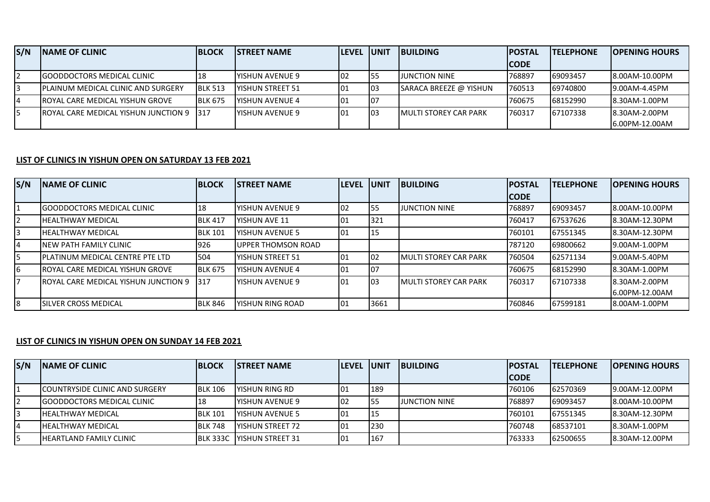| S/N | <b>INAME OF CLINIC</b>                            | <b>IBLOCK</b>  | <b>ISTREET NAME</b>      | <b>ILEVEL IUNIT</b> |      | <b>IBUILDING</b>              | <b>IPOSTAL</b> | <b>ITELEPHONE</b> | <b>IOPENING HOURS</b> |
|-----|---------------------------------------------------|----------------|--------------------------|---------------------|------|-------------------------------|----------------|-------------------|-----------------------|
|     |                                                   |                |                          |                     |      |                               | <b>CODE</b>    |                   |                       |
|     | <b>IGOODDOCTORS MEDICAL CLINIC</b>                |                | <b>IYISHUN AVENUE 9</b>  | 102                 | 155  | <b>JUNCTION NINE</b>          | 768897         | 69093457          | 8.00AM-10.00PM        |
|     | <b>IPLAINUM MEDICAL CLINIC AND SURGERY</b>        | <b>BLK 513</b> | <b>IYISHUN STREET 51</b> | 101                 | 103  | <b>SARACA BREEZE @ YISHUN</b> | 1760513        | 69740800          | $19.00$ AM-4.45PM     |
|     | <b>IROYAL CARE MEDICAL YISHUN GROVE</b>           | <b>BLK 675</b> | <b>IYISHUN AVENUE 4</b>  | 101                 | -107 |                               | 760675         | 68152990          | 8.30AM-1.00PM         |
|     | <b>IROYAL CARE MEDICAL YISHUN JUNCTION 9 1317</b> |                | <b>IYISHUN AVENUE 9</b>  | 101                 | 103  | <b>IMULTI STOREY CAR PARK</b> | 1760317        | 67107338          | 8.30AM-2.00PM         |
|     |                                                   |                |                          |                     |      |                               |                |                   | 16.00PM-12.00AM       |

## **LIST OF CLINICS IN YISHUN OPEN ON SATURDAY 13 FEB 2021**

| S/N | <b>INAME OF CLINIC</b>                       | <b>BLOCK</b>   | <b>ISTREET NAME</b>      | <b>LEVEL UNIT</b> |      | <b>BUILDING</b>               | <b>IPOSTAL</b> | <b>TELEPHONE</b> | <b>IOPENING HOURS</b> |
|-----|----------------------------------------------|----------------|--------------------------|-------------------|------|-------------------------------|----------------|------------------|-----------------------|
|     |                                              |                |                          |                   |      |                               | <b>ICODE</b>   |                  |                       |
|     | <b>IGOODDOCTORS MEDICAL CLINIC</b>           | 18             | <b>IYISHUN AVENUE 9</b>  | $ 02\rangle$      | 55   | JUNCTION NINE                 | 768897         | 69093457         | 8.00AM-10.00PM        |
|     | <b>HEALTHWAY MEDICAL</b>                     | <b>BLK 417</b> | <b>YISHUN AVE 11</b>     | 101               | 321  |                               | 760417         | 67537626         | <b>8.30AM-12.30PM</b> |
|     | <b>IHEALTHWAY MEDICAL</b>                    | <b>BLK 101</b> | <b>IYISHUN AVENUE 5</b>  | 101               | 15   |                               | 760101         | 67551345         | 18.30AM-12.30PM       |
|     | INEW PATH FAMILY CLINIC                      | 1926           | IUPPER THOMSON ROAD      |                   |      |                               | 787120         | 69800662         | 19.00AM-1.00PM        |
|     | <b>IPLATINUM MEDICAL CENTRE PTE LTD</b>      | 504            | <b>IYISHUN STREET 51</b> | 101               | 02   | <b>IMULTI STOREY CAR PARK</b> | 1760504        | 62571134         | 19.00AM-5.40PM        |
|     | <b>IROYAL CARE MEDICAL YISHUN GROVE</b>      | <b>BLK 675</b> | IYISHUN AVENUE 4         | 101               | 07   |                               | 760675         | 68152990         | <b>8.30AM-1.00PM</b>  |
|     | <b>IROYAL CARE MEDICAL YISHUN JUNCTION 9</b> | 317            | <b>IYISHUN AVENUE 9</b>  | 101               | 03   | <b>IMULTI STOREY CAR PARK</b> | 1760317        | 67107338         | 8.30AM-2.00PM         |
|     |                                              |                |                          |                   |      |                               |                |                  | 16.00PM-12.00AM       |
| 8   | <b>ISILVER CROSS MEDICAL</b>                 | <b>BLK 846</b> | <b>IYISHUN RING ROAD</b> | 101               | 3661 |                               | 760846         | 67599181         | <b>8.00AM-1.00PM</b>  |

## **LIST OF CLINICS IN YISHUN OPEN ON SUNDAY 14 FEB 2021**

| S/N | <b>INAME OF CLINIC</b>                 | <b>BLOCK</b>   | <b>ISTREET NAME</b>                | <b>ILEVEL IUNIT</b> |     | <b>IBUILDING</b>     | <b>IPOSTAL</b> | <b>ITELEPHONE</b> | <b>IOPENING HOURS</b> |
|-----|----------------------------------------|----------------|------------------------------------|---------------------|-----|----------------------|----------------|-------------------|-----------------------|
|     |                                        |                |                                    |                     |     |                      | <b>ICODE</b>   |                   |                       |
|     | <b>ICOUNTRYSIDE CLINIC AND SURGERY</b> | <b>BLK 106</b> | lyishun ring RD                    | 101                 | 189 |                      | 760106         | 62570369          | 19.00AM-12.00PM       |
|     | <b>IGOODDOCTORS MEDICAL CLINIC</b>     | 18             | YISHUN AVENUE 9                    | 102                 | 155 | <b>JUNCTION NINE</b> | 768897         | 69093457          | 8.00AM-10.00PM        |
|     | <b>IHEALTHWAY MEDICAL</b>              | <b>BLK 101</b> | YISHUN AVENUE 5                    | 101                 | ᅩ   |                      | 760101         | 67551345          | 8.30AM-12.30PM        |
| 4   | <b>IHEALTHWAY MEDICAL</b>              | <b>BLK 748</b> | YISHUN STREET 72                   |                     | 230 |                      | 760748         | 68537101          | <b>8.30AM-1.00PM</b>  |
|     | <b>IHEARTLAND FAMILY CLINIC</b>        |                | <b>IBLK 333C IYISHUN STREET 31</b> |                     | 167 |                      | 763333         | 62500655          | 8.30AM-12.00PM        |